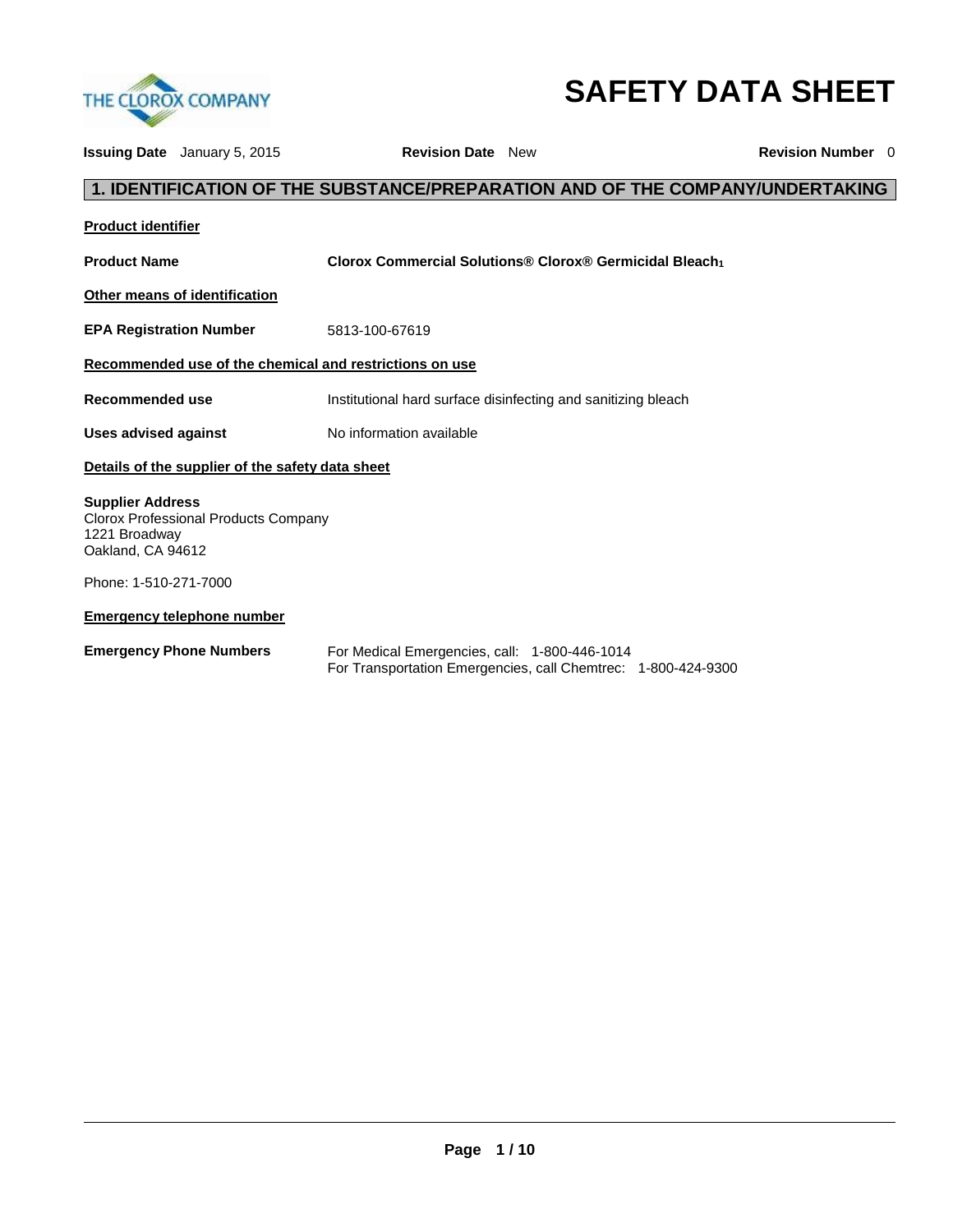

# **SAFETY DATA SHEET**

|                                                               | <b>Issuing Date</b> January 5, 2015              | <b>Revision Date</b> New                                                                                       | <b>Revision Number</b> 0 |
|---------------------------------------------------------------|--------------------------------------------------|----------------------------------------------------------------------------------------------------------------|--------------------------|
|                                                               |                                                  | 1. IDENTIFICATION OF THE SUBSTANCE/PREPARATION AND OF THE COMPANY/UNDERTAKING                                  |                          |
| <b>Product identifier</b>                                     |                                                  |                                                                                                                |                          |
| <b>Product Name</b>                                           |                                                  | Clorox Commercial Solutions® Clorox® Germicidal Bleach1                                                        |                          |
|                                                               | Other means of identification                    |                                                                                                                |                          |
| <b>EPA Registration Number</b>                                |                                                  | 5813-100-67619                                                                                                 |                          |
|                                                               |                                                  | Recommended use of the chemical and restrictions on use                                                        |                          |
| Recommended use                                               |                                                  | Institutional hard surface disinfecting and sanitizing bleach                                                  |                          |
| <b>Uses advised against</b>                                   |                                                  | No information available                                                                                       |                          |
|                                                               | Details of the supplier of the safety data sheet |                                                                                                                |                          |
| <b>Supplier Address</b><br>1221 Broadway<br>Oakland, CA 94612 | Clorox Professional Products Company             |                                                                                                                |                          |
| Phone: 1-510-271-7000                                         |                                                  |                                                                                                                |                          |
|                                                               | <b>Emergency telephone number</b>                |                                                                                                                |                          |
| <b>Emergency Phone Numbers</b>                                |                                                  | For Medical Emergencies, call: 1-800-446-1014<br>For Transportation Emergencies, call Chemtrec: 1-800-424-9300 |                          |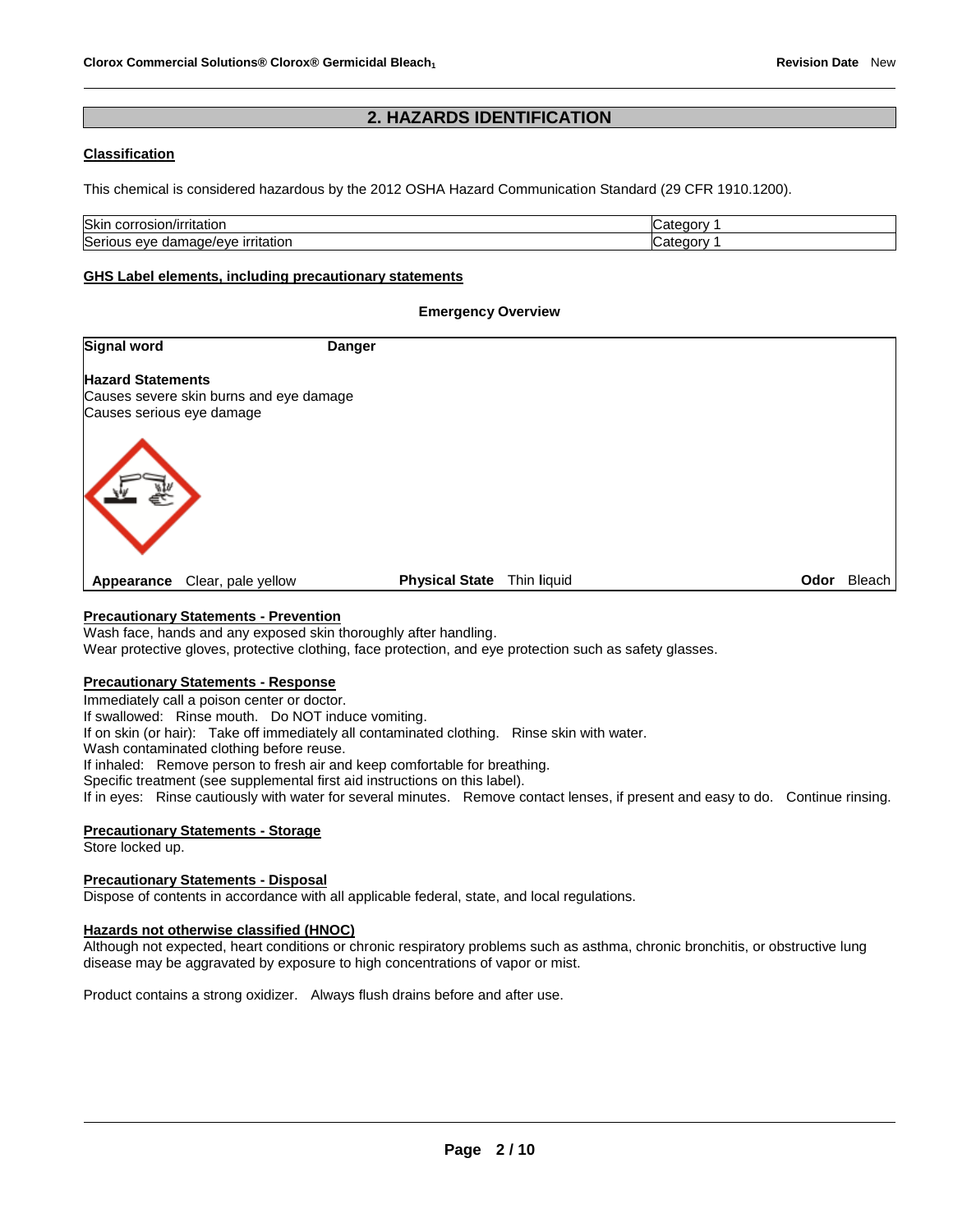# **2. HAZARDS IDENTIFICATION**

### **Classification**

This chemical is considered hazardous by the 2012 OSHA Hazard Communication Standard (29 CFR 1910.1200).

| Skin<br>⊦corrosion/irritation                     | nte. |
|---------------------------------------------------|------|
| Serious<br><u>ırrıtatıor</u><br>damage/eve<br>eve | '≏t∠ |

### **GHS Label elements, including precautionary statements**

### **Emergency Overview**

| <b>Signal word</b>                                    | <b>Danger</b>                           |                       |             |  |                    |
|-------------------------------------------------------|-----------------------------------------|-----------------------|-------------|--|--------------------|
| <b>Hazard Statements</b><br>Causes serious eye damage | Causes severe skin burns and eye damage |                       |             |  |                    |
|                                                       |                                         |                       |             |  |                    |
| Appearance                                            | Clear, pale yellow                      | <b>Physical State</b> | Thin liquid |  | <b>Odor</b> Bleach |

# **Precautionary Statements - Prevention**

Wash face, hands and any exposed skin thoroughly after handling.

Wear protective gloves, protective clothing, face protection, and eye protection such as safety glasses.

### **Precautionary Statements - Response**

Immediately call a poison center or doctor.

If swallowed: Rinse mouth. Do NOT induce vomiting.

If on skin (or hair): Take off immediately all contaminated clothing. Rinse skin with water.

Wash contaminated clothing before reuse.

If inhaled: Remove person to fresh air and keep comfortable for breathing.

Specific treatment (see supplemental first aid instructions on this label).

If in eyes: Rinse cautiously with water for several minutes. Remove contact lenses, if present and easy to do. Continue rinsing.

# **Precautionary Statements - Storage**

Store locked up.

### **Precautionary Statements - Disposal**

Dispose of contents in accordance with all applicable federal, state, and local regulations.

### **Hazards not otherwise classified (HNOC)**

Although not expected, heart conditions or chronic respiratory problems such as asthma, chronic bronchitis, or obstructive lung disease may be aggravated by exposure to high concentrations of vapor or mist.

Product contains a strong oxidizer. Always flush drains before and after use.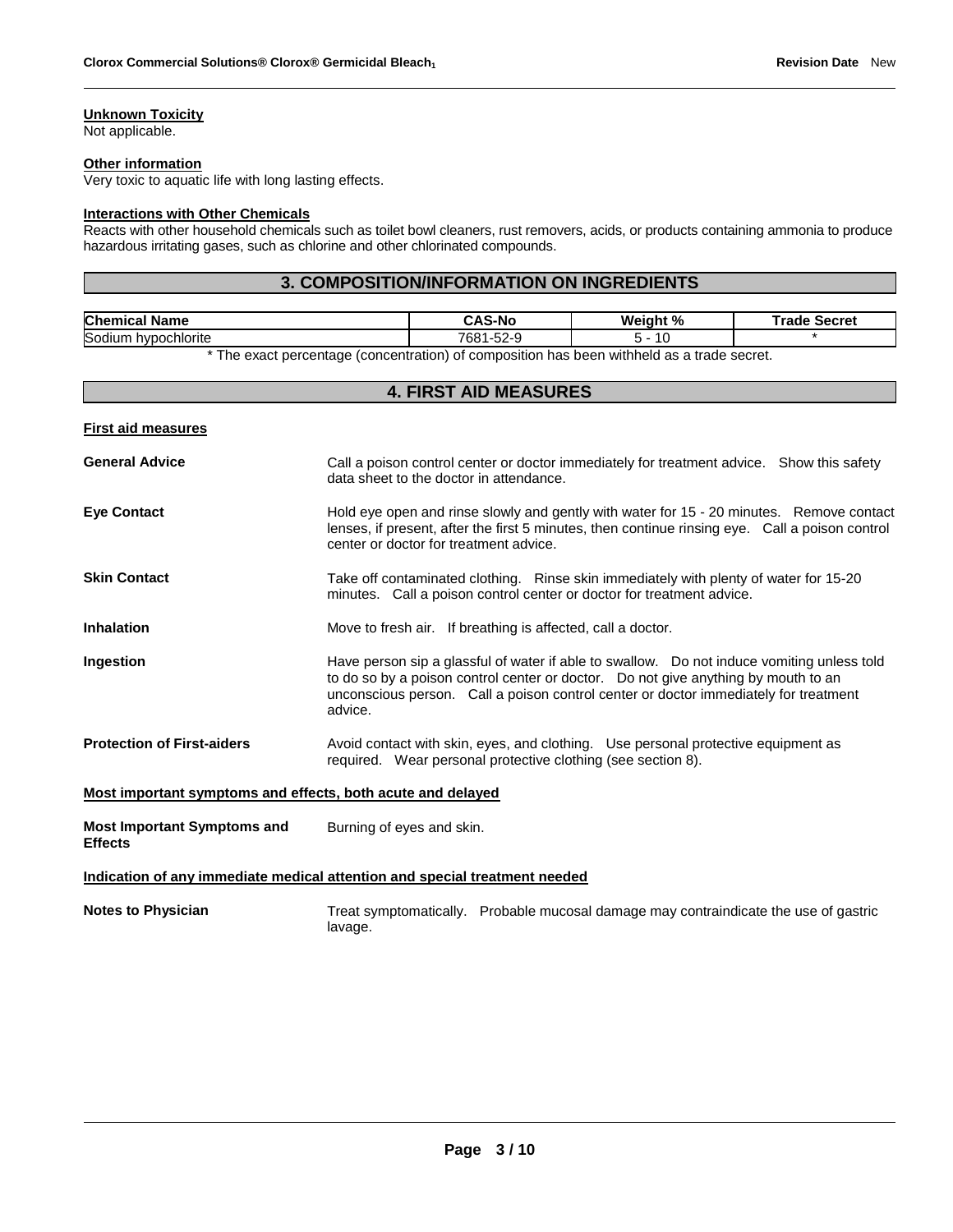# **Unknown Toxicity**

Not applicable.

#### **Other information**

Very toxic to aquatic life with long lasting effects.

# **Interactions with Other Chemicals**

Reacts with other household chemicals such as toilet bowl cleaners, rust removers, acids, or products containing ammonia to produce hazardous irritating gases, such as chlorine and other chlorinated compounds.

# **3. COMPOSITION/INFORMATION ON INGREDIENTS**

| <b>Chem</b><br>. .<br>Name<br>11C.                                                                              | <b>AS-No</b>                             | Weight %<br>7٥ | Secret<br>--- |  |
|-----------------------------------------------------------------------------------------------------------------|------------------------------------------|----------------|---------------|--|
| Sodiun<br>hypochlorite                                                                                          | 700 <sub>0</sub><br>$\sim$<br>~-∠ن<br>ЮC | ιU             |               |  |
| records and the contract of the contract of the contract of the contract of the contract of the contract of the |                                          |                |               |  |

\* The exact percentage (concentration) of composition has been withheld as a trade secret.

| <b>4. FIRST AID MEASURES</b>                                |                                                                                                                                                                                                                                                                                      |  |  |  |
|-------------------------------------------------------------|--------------------------------------------------------------------------------------------------------------------------------------------------------------------------------------------------------------------------------------------------------------------------------------|--|--|--|
| <b>First aid measures</b>                                   |                                                                                                                                                                                                                                                                                      |  |  |  |
| <b>General Advice</b>                                       | Call a poison control center or doctor immediately for treatment advice. Show this safety<br>data sheet to the doctor in attendance.                                                                                                                                                 |  |  |  |
| <b>Eye Contact</b>                                          | Hold eye open and rinse slowly and gently with water for 15 - 20 minutes. Remove contact<br>lenses, if present, after the first 5 minutes, then continue rinsing eye. Call a poison control<br>center or doctor for treatment advice.                                                |  |  |  |
| <b>Skin Contact</b>                                         | Take off contaminated clothing. Rinse skin immediately with plenty of water for 15-20<br>minutes. Call a poison control center or doctor for treatment advice.                                                                                                                       |  |  |  |
| <b>Inhalation</b>                                           | Move to fresh air. If breathing is affected, call a doctor.                                                                                                                                                                                                                          |  |  |  |
| Ingestion                                                   | Have person sip a glassful of water if able to swallow. Do not induce vomiting unless told<br>to do so by a poison control center or doctor.  Do not give anything by mouth to an<br>unconscious person. Call a poison control center or doctor immediately for treatment<br>advice. |  |  |  |
| <b>Protection of First-aiders</b>                           | Avoid contact with skin, eyes, and clothing. Use personal protective equipment as<br>required. Wear personal protective clothing (see section 8).                                                                                                                                    |  |  |  |
| Most important symptoms and effects, both acute and delayed |                                                                                                                                                                                                                                                                                      |  |  |  |
| <b>Most Important Symptoms and</b><br><b>Effects</b>        | Burning of eyes and skin.                                                                                                                                                                                                                                                            |  |  |  |
|                                                             | Indication of any immediate medical attention and special treatment needed                                                                                                                                                                                                           |  |  |  |
| <b>Notes to Physician</b>                                   | Treat symptomatically. Probable mucosal damage may contraindicate the use of gastric<br>lavage.                                                                                                                                                                                      |  |  |  |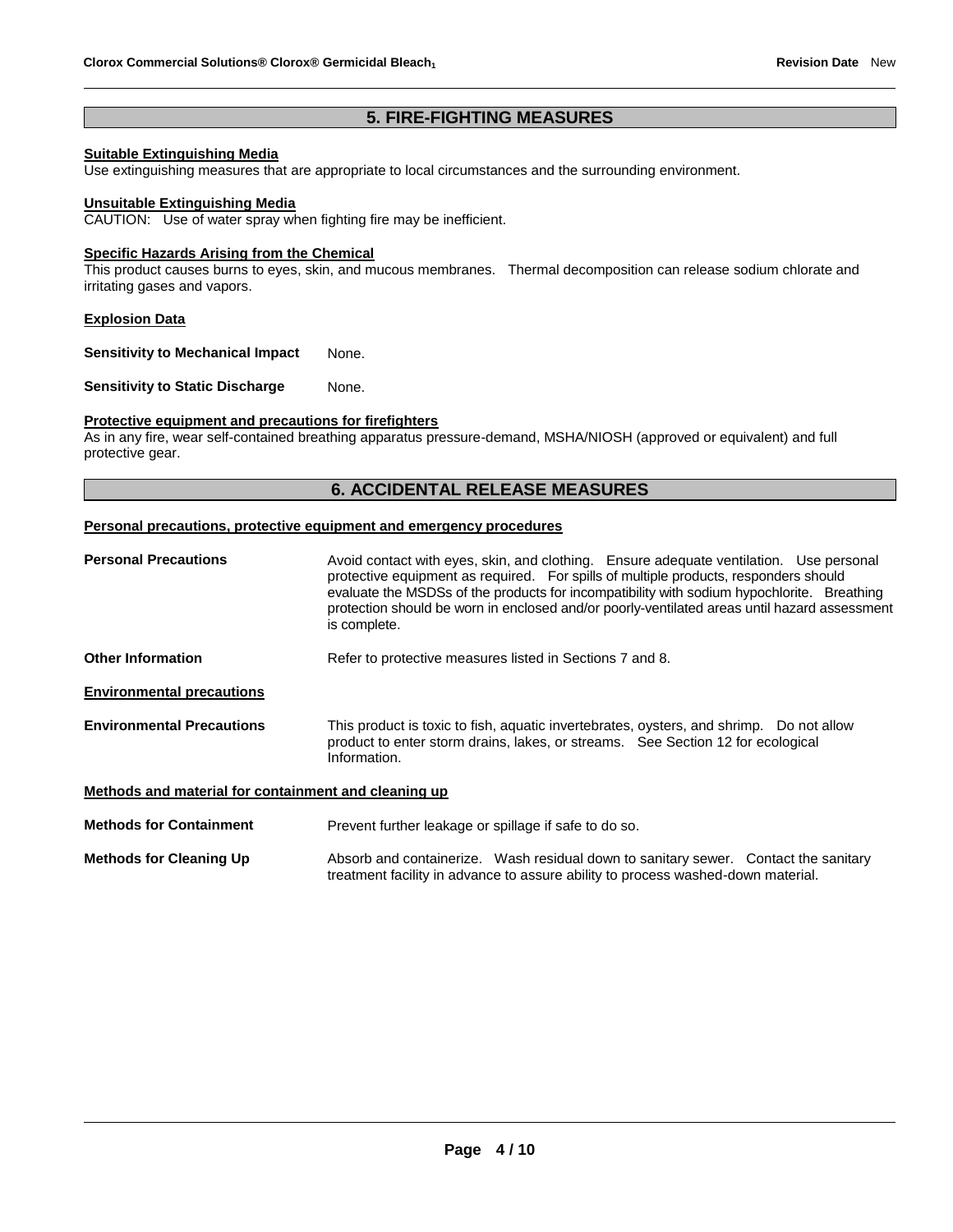# **5. FIRE-FIGHTING MEASURES**

# **Suitable Extinguishing Media**

Use extinguishing measures that are appropriate to local circumstances and the surrounding environment.

#### **Unsuitable Extinguishing Media**

CAUTION: Use of water spray when fighting fire may be inefficient.

## **Specific Hazards Arising from the Chemical**

This product causes burns to eyes, skin, and mucous membranes. Thermal decomposition can release sodium chlorate and irritating gases and vapors.

### **Explosion Data**

**Sensitivity to Mechanical Impact** None.

**Sensitivity to Static Discharge Mone.** 

## **Protective equipment and precautions for firefighters**

As in any fire, wear self-contained breathing apparatus pressure-demand, MSHA/NIOSH (approved or equivalent) and full protective gear.

# **6. ACCIDENTAL RELEASE MEASURES**

#### **Personal precautions, protective equipment and emergency procedures**

| <b>Personal Precautions</b>                          | Avoid contact with eyes, skin, and clothing. Ensure adequate ventilation. Use personal<br>protective equipment as required. For spills of multiple products, responders should<br>evaluate the MSDSs of the products for incompatibility with sodium hypochlorite. Breathing<br>protection should be worn in enclosed and/or poorly-ventilated areas until hazard assessment<br>is complete. |  |  |
|------------------------------------------------------|----------------------------------------------------------------------------------------------------------------------------------------------------------------------------------------------------------------------------------------------------------------------------------------------------------------------------------------------------------------------------------------------|--|--|
| Other Information                                    | Refer to protective measures listed in Sections 7 and 8.                                                                                                                                                                                                                                                                                                                                     |  |  |
| <b>Environmental precautions</b>                     |                                                                                                                                                                                                                                                                                                                                                                                              |  |  |
| <b>Environmental Precautions</b>                     | This product is toxic to fish, aquatic invertebrates, oysters, and shrimp. Do not allow<br>product to enter storm drains, lakes, or streams. See Section 12 for ecological<br>Information.                                                                                                                                                                                                   |  |  |
| Methods and material for containment and cleaning up |                                                                                                                                                                                                                                                                                                                                                                                              |  |  |
| <b>Methods for Containment</b>                       | Prevent further leakage or spillage if safe to do so.                                                                                                                                                                                                                                                                                                                                        |  |  |
| <b>Methods for Cleaning Up</b>                       | Absorb and containerize. Wash residual down to sanitary sewer. Contact the sanitary<br>treatment facility in advance to assure ability to process washed-down material.                                                                                                                                                                                                                      |  |  |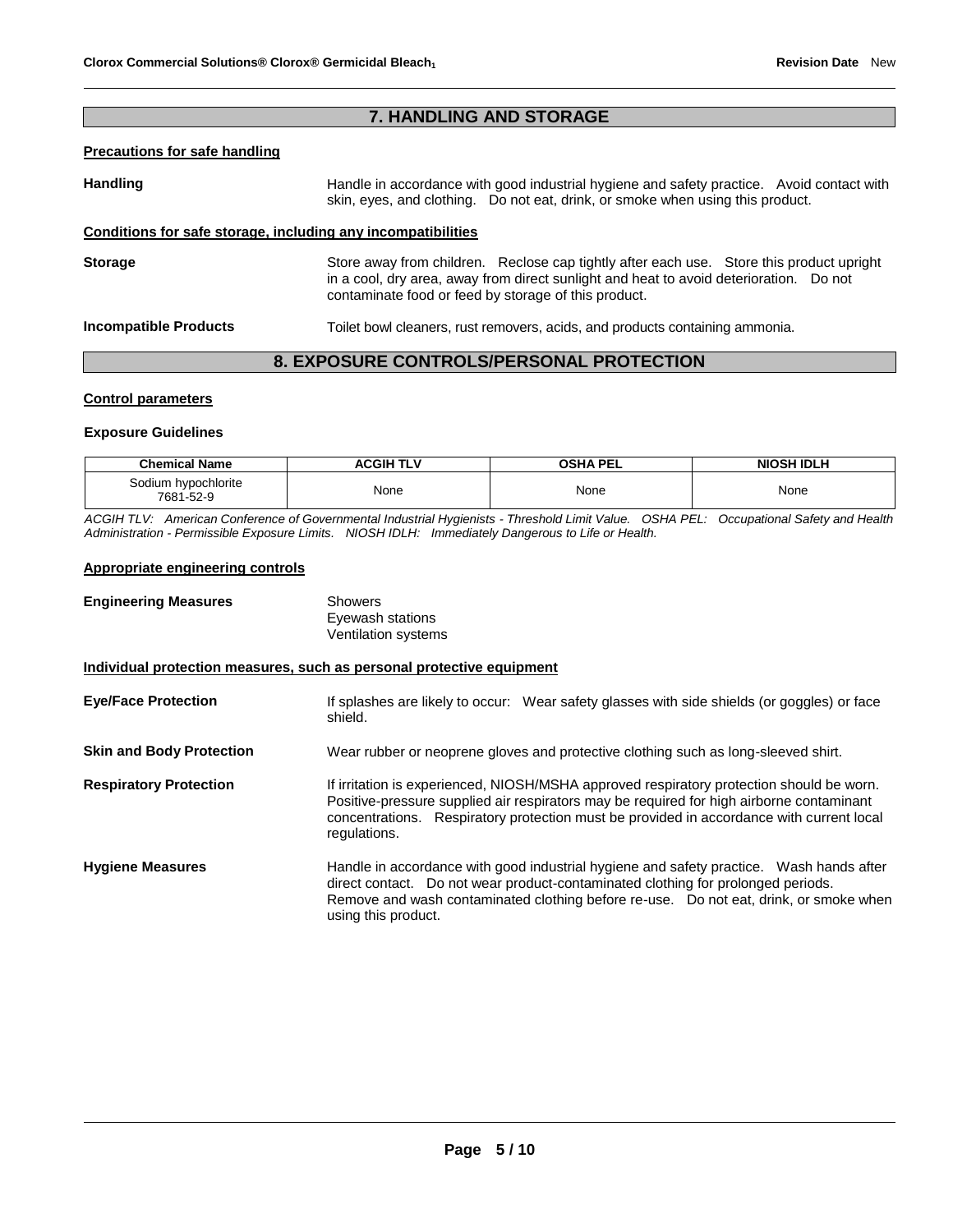# **7. HANDLING AND STORAGE**

### **Precautions for safe handling**

Handling **Handle in accordance with good industrial hygiene and safety practice. Avoid contact with and the Handle in accordance with good industrial hygiene and safety practice. Avoid contact with** skin, eyes, and clothing. Do not eat, drink, or smoke when using this product.

# **Conditions for safe storage, including any incompatibilities**

**Storage** Store away from children. Reclose cap tightly after each use. Store this product upright in a cool, dry area, away from direct sunlight and heat to avoid deterioration. Do not contaminate food or feed by storage of this product.

**Incompatible Products** Toilet bowl cleaners, rust removers, acids, and products containing ammonia.

# **8. EXPOSURE CONTROLS/PERSONAL PROTECTION**

### **Control parameters**

### **Exposure Guidelines**

| <b>Chemical Name</b>             | ACGIH TLV | <b>OSHA PEL</b> | <b>NIOSH IDLH</b> |
|----------------------------------|-----------|-----------------|-------------------|
| Sodium hypochlorite<br>7681-52-9 | None      | None            | None              |

*ACGIH TLV: American Conference of Governmental Industrial Hygienists - Threshold Limit Value. OSHA PEL: Occupational Safety and Health Administration - Permissible Exposure Limits. NIOSH IDLH: Immediately Dangerous to Life or Health.*

# **Appropriate engineering controls**

| <b>Engineering Measures</b>                                           | <b>Showers</b><br>Eyewash stations<br><b>Ventilation systems</b>                                                                                                                                                                                                                                 |
|-----------------------------------------------------------------------|--------------------------------------------------------------------------------------------------------------------------------------------------------------------------------------------------------------------------------------------------------------------------------------------------|
| Individual protection measures, such as personal protective equipment |                                                                                                                                                                                                                                                                                                  |
| <b>Eye/Face Protection</b>                                            | If splashes are likely to occur: Wear safety glasses with side shields (or goggles) or face<br>shield.                                                                                                                                                                                           |
| <b>Skin and Body Protection</b>                                       | Wear rubber or neoprene gloves and protective clothing such as long-sleeved shirt.                                                                                                                                                                                                               |
| <b>Respiratory Protection</b>                                         | If irritation is experienced, NIOSH/MSHA approved respiratory protection should be worn.<br>Positive-pressure supplied air respirators may be required for high airborne contaminant<br>concentrations. Respiratory protection must be provided in accordance with current local<br>regulations. |
| <b>Hygiene Measures</b>                                               | Handle in accordance with good industrial hygiene and safety practice. Wash hands after<br>direct contact. Do not wear product-contaminated clothing for prolonged periods.<br>Remove and wash contaminated clothing before re-use. Do not eat, drink, or smoke when<br>using this product.      |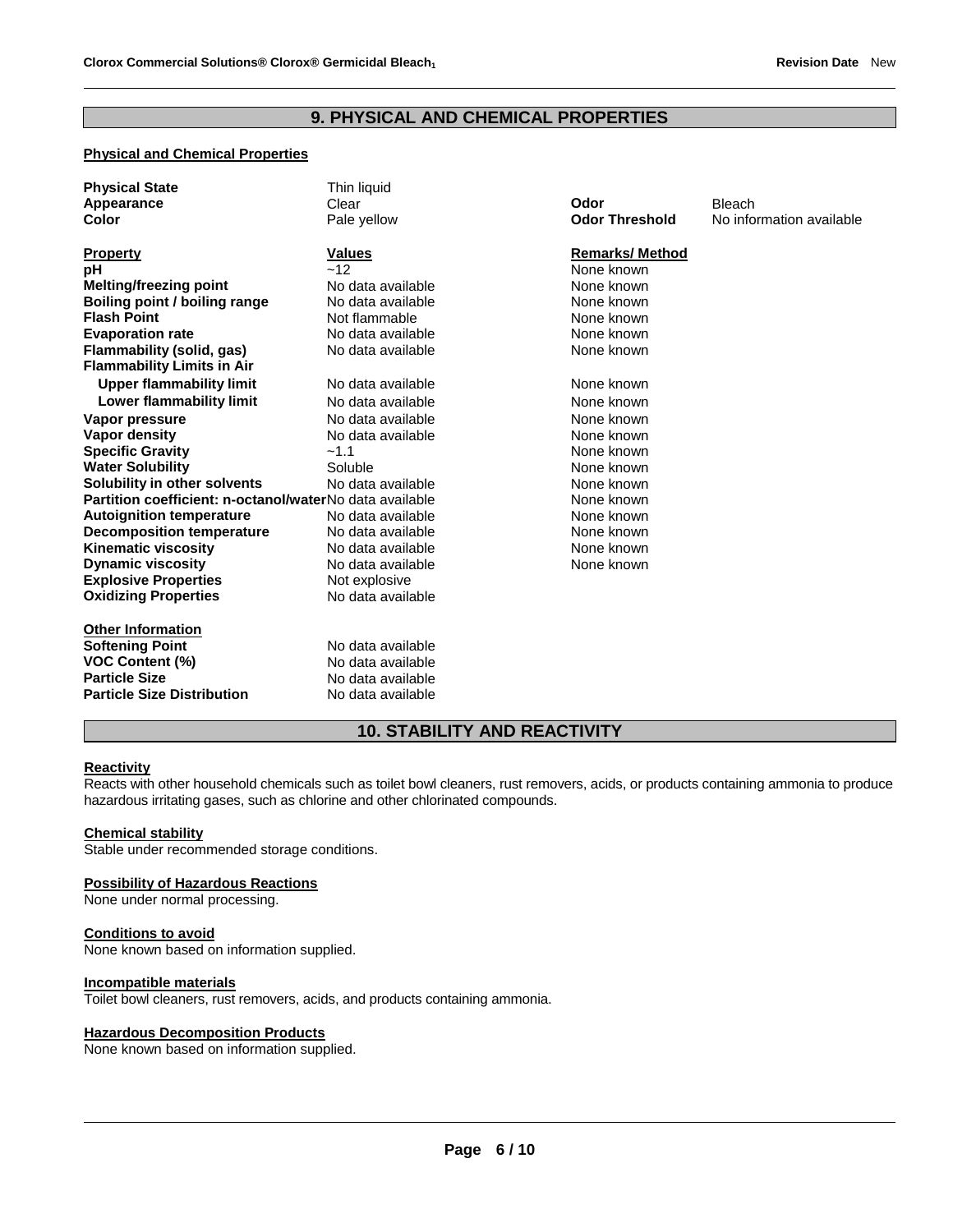# **9. PHYSICAL AND CHEMICAL PROPERTIES**

# **Physical and Chemical Properties**

| <b>Physical State</b><br>Appearance<br>Color            | Thin liquid<br>Clear<br>Pale yellow | Odor<br><b>Odor Threshold</b> | <b>Bleach</b><br>No information available |
|---------------------------------------------------------|-------------------------------------|-------------------------------|-------------------------------------------|
| <b>Property</b>                                         | <b>Values</b>                       | <b>Remarks/Method</b>         |                                           |
| рH                                                      | ~12                                 | None known                    |                                           |
| <b>Melting/freezing point</b>                           | No data available                   | None known                    |                                           |
| Boiling point / boiling range                           | No data available                   | None known                    |                                           |
| <b>Flash Point</b>                                      | Not flammable                       | None known                    |                                           |
| <b>Evaporation rate</b>                                 | No data available                   | None known                    |                                           |
| Flammability (solid, gas)                               | No data available                   | None known                    |                                           |
| <b>Flammability Limits in Air</b>                       |                                     |                               |                                           |
| <b>Upper flammability limit</b>                         | No data available                   | None known                    |                                           |
| Lower flammability limit                                | No data available                   | None known                    |                                           |
| Vapor pressure                                          | No data available                   | None known                    |                                           |
| <b>Vapor density</b>                                    | No data available                   | None known                    |                                           |
| <b>Specific Gravity</b>                                 | $-1.1$                              | None known                    |                                           |
| <b>Water Solubility</b>                                 | Soluble                             | None known                    |                                           |
| Solubility in other solvents                            | No data available                   | None known                    |                                           |
| Partition coefficient: n-octanol/waterNo data available |                                     | None known                    |                                           |
| <b>Autoignition temperature</b>                         | No data available                   | None known                    |                                           |
| <b>Decomposition temperature</b>                        | No data available                   | None known                    |                                           |
| <b>Kinematic viscosity</b>                              | No data available                   | None known                    |                                           |
| <b>Dynamic viscosity</b>                                | No data available                   | None known                    |                                           |
| <b>Explosive Properties</b>                             | Not explosive                       |                               |                                           |
| <b>Oxidizing Properties</b>                             | No data available                   |                               |                                           |
| <b>Other Information</b>                                |                                     |                               |                                           |
| <b>Softening Point</b>                                  | No data available                   |                               |                                           |
| <b>VOC Content (%)</b>                                  | No data available                   |                               |                                           |
| <b>Particle Size</b>                                    | No data available                   |                               |                                           |
| <b>Particle Size Distribution</b>                       | No data available                   |                               |                                           |

# **10. STABILITY AND REACTIVITY**

### **Reactivity**

Reacts with other household chemicals such as toilet bowl cleaners, rust removers, acids, or products containing ammonia to produce hazardous irritating gases, such as chlorine and other chlorinated compounds.

### **Chemical stability**

Stable under recommended storage conditions.

#### **Possibility of Hazardous Reactions**

None under normal processing.

### **Conditions to avoid**

None known based on information supplied.

# **Incompatible materials**

Toilet bowl cleaners, rust removers, acids, and products containing ammonia.

#### **Hazardous Decomposition Products**

None known based on information supplied.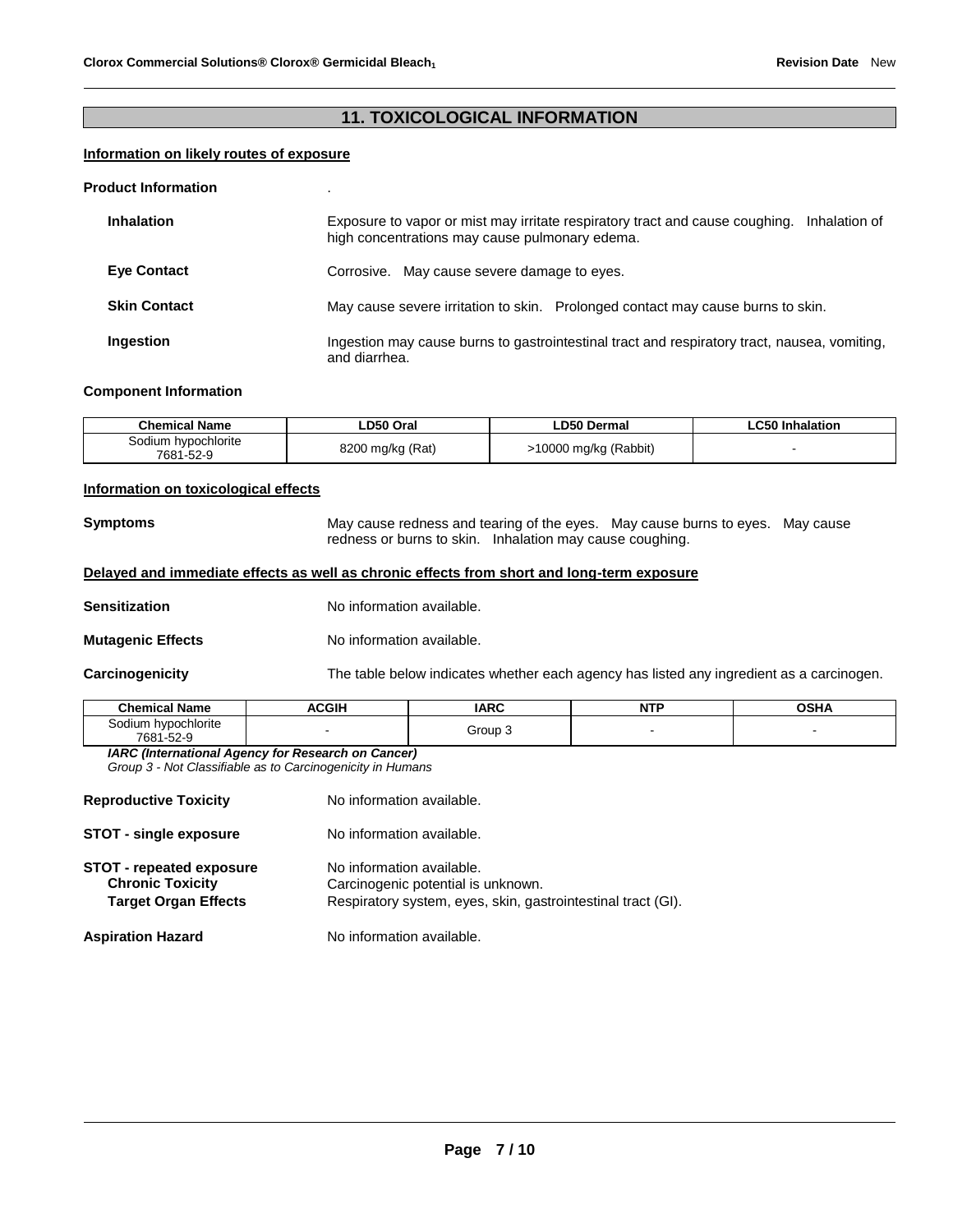# **11. TOXICOLOGICAL INFORMATION**

# **Information on likely routes of exposure**

#### **Product Information** .

| <b>Inhalation</b>   | Exposure to vapor or mist may irritate respiratory tract and cause coughing.<br>Inhalation of<br>high concentrations may cause pulmonary edema. |  |  |
|---------------------|-------------------------------------------------------------------------------------------------------------------------------------------------|--|--|
| <b>Eye Contact</b>  | Corrosive. May cause severe damage to eyes.                                                                                                     |  |  |
| <b>Skin Contact</b> | May cause severe irritation to skin. Prolonged contact may cause burns to skin.                                                                 |  |  |
| Ingestion           | Ingestion may cause burns to gastrointestinal tract and respiratory tract, nausea, vomiting,<br>and diarrhea.                                   |  |  |

### **Component Information**

| <b>Chemical Name</b>             | ∟D50 Oral        | ∟D50 Dermal           | <b>LC50 Inhalation</b> |
|----------------------------------|------------------|-----------------------|------------------------|
| Sodium hypochlorite<br>7681-52-9 | 8200 mg/kg (Rat) | >10000 mg/kg (Rabbit) |                        |

# **Information on toxicological effects**

**Symptoms** May cause redness and tearing of the eyes. May cause burns to eyes. May cause redness or burns to skin. Inhalation may cause coughing.

# **Delayed and immediate effects as well as chronic effects from short and long-term exposure**

**Sensitization No information available.** 

**Mutagenic Effects No information available.** 

**Carcinogenicity** The table below indicates whether each agency has listed any ingredient as a carcinogen.

| ' Name<br>Chamical .                            | ∶GIH | ADC   | .<br>NU | ---- |
|-------------------------------------------------|------|-------|---------|------|
| odium hypochlorite<br>$-22$<br>7681<br>। -౦∠- ⊎ |      | Group |         |      |

*IARC (International Agency for Research on Cancer) Group 3 - Not Classifiable as to Carcinogenicity in Humans* 

| <b>Reproductive Toxicity</b>                                                              | No information available.                                                                                                       |
|-------------------------------------------------------------------------------------------|---------------------------------------------------------------------------------------------------------------------------------|
| <b>STOT - single exposure</b>                                                             | No information available.                                                                                                       |
| <b>STOT - repeated exposure</b><br><b>Chronic Toxicity</b><br><b>Target Organ Effects</b> | No information available.<br>Carcinogenic potential is unknown.<br>Respiratory system, eyes, skin, gastrointestinal tract (GI). |
| <b>Aspiration Hazard</b>                                                                  | No information available.                                                                                                       |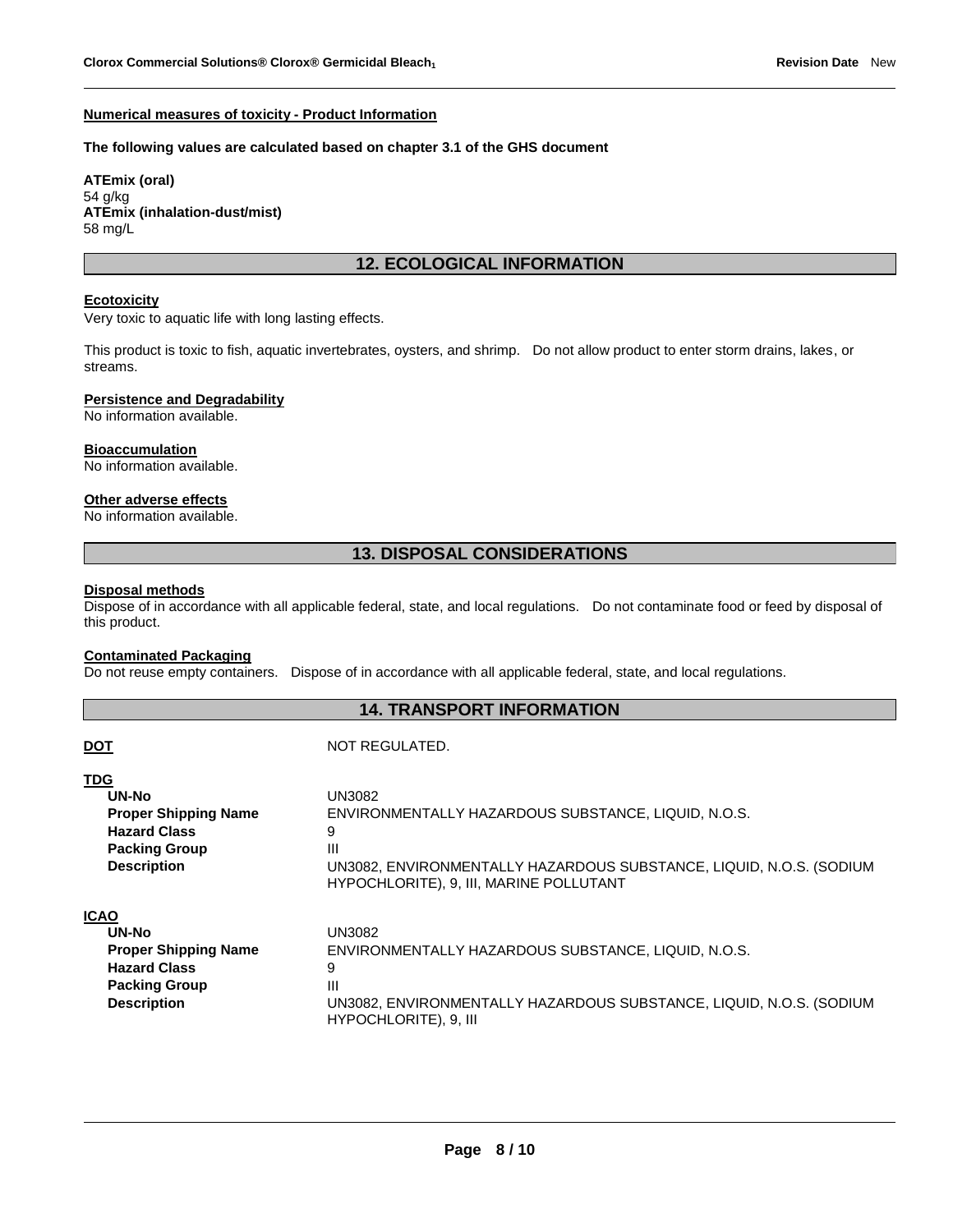### **Numerical measures of toxicity - Product Information**

### **The following values are calculated based on chapter 3.1 of the GHS document**

**ATEmix (oral)** 54 g/kg **ATEmix (inhalation-dust/mist)** 58 mg/L

# **12. ECOLOGICAL INFORMATION**

# **Ecotoxicity**

Very toxic to aquatic life with long lasting effects.

This product is toxic to fish, aquatic invertebrates, oysters, and shrimp. Do not allow product to enter storm drains, lakes, or streams.

### **Persistence and Degradability**

No information available.

#### **Bioaccumulation**

No information available.

#### **Other adverse effects**

No information available.

# **13. DISPOSAL CONSIDERATIONS**

#### **Disposal methods**

Dispose of in accordance with all applicable federal, state, and local regulations. Do not contaminate food or feed by disposal of this product.

#### **Contaminated Packaging**

**DOT** NOT REGULATED.

Do not reuse empty containers. Dispose of in accordance with all applicable federal, state, and local regulations.

# **14. TRANSPORT INFORMATION**

| <b>TDG</b>                  | UN3082                                                              |
|-----------------------------|---------------------------------------------------------------------|
| UN-No                       | ENVIRONMENTALLY HAZARDOUS SUBSTANCE, LIQUID, N.O.S.                 |
| <b>Proper Shipping Name</b> | 9                                                                   |
| <b>Hazard Class</b>         | $\mathbf{III}$                                                      |
| <b>Packing Group</b>        | UN3082, ENVIRONMENTALLY HAZARDOUS SUBSTANCE, LIQUID, N.O.S. (SODIUM |
| <b>Description</b>          | HYPOCHLORITE), 9, III, MARINE POLLUTANT                             |
| <b>ICAO</b>                 | UN3082                                                              |
| UN-No                       | ENVIRONMENTALLY HAZARDOUS SUBSTANCE, LIQUID, N.O.S.                 |
| <b>Proper Shipping Name</b> | 9                                                                   |
| <b>Hazard Class</b>         | $\mathbf{III}$                                                      |
| <b>Packing Group</b>        | UN3082, ENVIRONMENTALLY HAZARDOUS SUBSTANCE, LIQUID, N.O.S. (SODIUM |
| <b>Description</b>          | HYPOCHLORITE), 9, III                                               |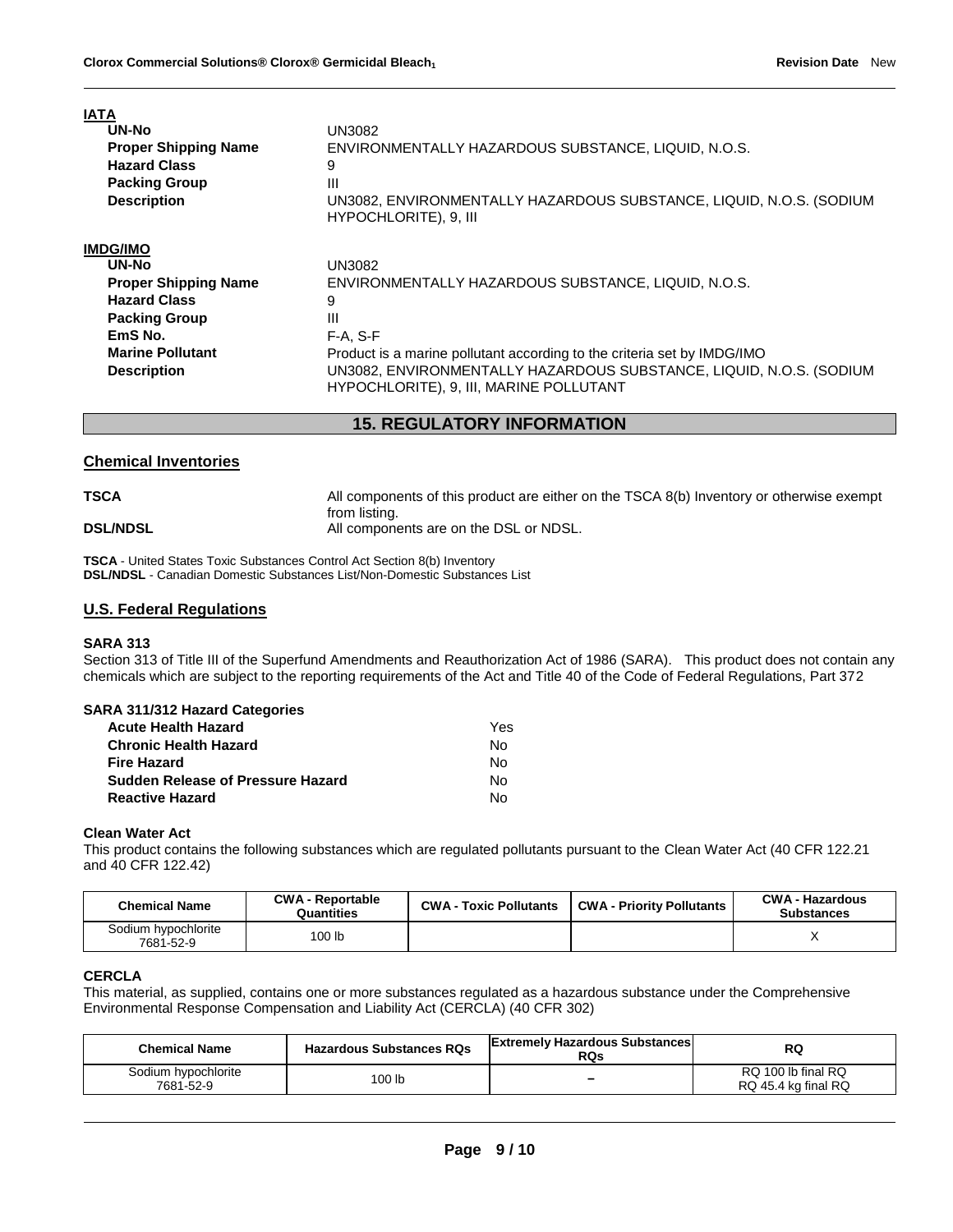| IAIA                        |                                                                                                                |
|-----------------------------|----------------------------------------------------------------------------------------------------------------|
| UN-No                       | UN3082.                                                                                                        |
| <b>Proper Shipping Name</b> | ENVIRONMENTALLY HAZARDOUS SUBSTANCE, LIQUID, N.O.S.                                                            |
| <b>Hazard Class</b>         | 9                                                                                                              |
| <b>Packing Group</b>        | Ш                                                                                                              |
| <b>Description</b>          | UN3082, ENVIRONMENTALLY HAZARDOUS SUBSTANCE, LIQUID, N.O.S. (SODIUM<br>HYPOCHLORITE), 9, III                   |
| <b>IMDG/IMO</b>             |                                                                                                                |
| UN-No                       | UN3082                                                                                                         |
| <b>Proper Shipping Name</b> | ENVIRONMENTALLY HAZARDOUS SUBSTANCE, LIQUID, N.O.S.                                                            |
| <b>Hazard Class</b>         | 9                                                                                                              |
| <b>Packing Group</b>        | Ш                                                                                                              |
| EmS No.                     | $F-A, S-F$                                                                                                     |
| <b>Marine Pollutant</b>     | Product is a marine pollutant according to the criteria set by IMDG/IMO                                        |
| <b>Description</b>          | UN3082, ENVIRONMENTALLY HAZARDOUS SUBSTANCE, LIQUID, N.O.S. (SODIUM<br>HYPOCHLORITE), 9, III, MARINE POLLUTANT |

# **15. REGULATORY INFORMATION**

# **Chemical Inventories**

| TSCA            | All components of this product are either on the TSCA 8(b) Inventory or otherwise exempt |
|-----------------|------------------------------------------------------------------------------------------|
| <b>DSL/NDSL</b> | from listing.<br>All components are on the DSL or NDSL.                                  |

**TSCA** - United States Toxic Substances Control Act Section 8(b) Inventory **DSL/NDSL** - Canadian Domestic Substances List/Non-Domestic Substances List

### **U.S. Federal Regulations**

#### **SARA 313**

**IATA**

Section 313 of Title III of the Superfund Amendments and Reauthorization Act of 1986 (SARA). This product does not contain any chemicals which are subject to the reporting requirements of the Act and Title 40 of the Code of Federal Regulations, Part 372

#### **SARA 311/312 Hazard Categories**

| <b>Acute Health Hazard</b>               | Yes. |
|------------------------------------------|------|
| <b>Chronic Health Hazard</b>             | N٥   |
| <b>Fire Hazard</b>                       | N٥   |
| <b>Sudden Release of Pressure Hazard</b> | N٥   |
| <b>Reactive Hazard</b>                   | N٥   |

### **Clean Water Act**

This product contains the following substances which are regulated pollutants pursuant to the Clean Water Act (40 CFR 122.21 and 40 CFR 122.42)

| <b>Chemical Name</b>             | <b>CWA - Reportable</b><br>Quantities | <b>CWA - Toxic Pollutants</b> | <b>CWA - Priority Pollutants</b> | <b>CWA - Hazardous</b><br><b>Substances</b> |
|----------------------------------|---------------------------------------|-------------------------------|----------------------------------|---------------------------------------------|
| Sodium hypochlorite<br>7681-52-9 | 100 lb                                |                               |                                  |                                             |

### **CERCLA**

This material, as supplied, contains one or more substances regulated as a hazardous substance under the Comprehensive Environmental Response Compensation and Liability Act (CERCLA) (40 CFR 302)

| <b>Chemical Name</b>             | <b>Hazardous Substances RQs</b> | <b>Extremely Hazardous Substances</b><br><b>RQs</b> | RQ                                        |
|----------------------------------|---------------------------------|-----------------------------------------------------|-------------------------------------------|
| Sodium hypochlorite<br>7681-52-9 | 100 lb                          | $\overline{\phantom{a}}$                            | RQ 100 lb final RQ<br>RQ 45.4 kg final RQ |